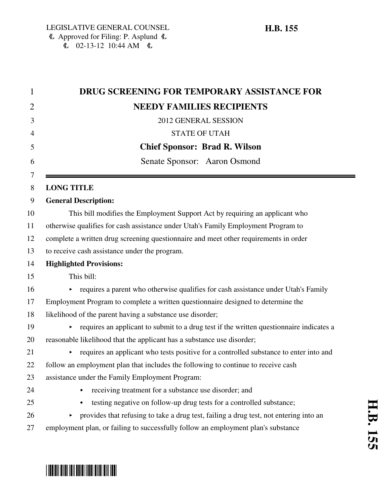| $\mathbf{1}$ | DRUG SCREENING FOR TEMPORARY ASSISTANCE FOR                                                  |
|--------------|----------------------------------------------------------------------------------------------|
| 2            | <b>NEEDY FAMILIES RECIPIENTS</b>                                                             |
| 3            | 2012 GENERAL SESSION                                                                         |
| 4            | <b>STATE OF UTAH</b>                                                                         |
| 5            | <b>Chief Sponsor: Brad R. Wilson</b>                                                         |
| 6            | Senate Sponsor: Aaron Osmond                                                                 |
| 7<br>8       | <b>LONG TITLE</b>                                                                            |
| 9            | <b>General Description:</b>                                                                  |
| 10           | This bill modifies the Employment Support Act by requiring an applicant who                  |
| 11           | otherwise qualifies for cash assistance under Utah's Family Employment Program to            |
| 12           | complete a written drug screening questionnaire and meet other requirements in order         |
| 13           | to receive cash assistance under the program.                                                |
| 14           | <b>Highlighted Provisions:</b>                                                               |
| 15           | This bill:                                                                                   |
| 16           | requires a parent who otherwise qualifies for cash assistance under Utah's Family<br>Þ.      |
| 17           | Employment Program to complete a written questionnaire designed to determine the             |
| 18           | likelihood of the parent having a substance use disorder;                                    |
| 19           | requires an applicant to submit to a drug test if the written questionnaire indicates a<br>▶ |
| 20           | reasonable likelihood that the applicant has a substance use disorder;                       |
| 21           | requires an applicant who tests positive for a controlled substance to enter into and<br>▶   |
| 22           | follow an employment plan that includes the following to continue to receive cash            |
| 23           | assistance under the Family Employment Program:                                              |
| 24           | receiving treatment for a substance use disorder; and                                        |
| 25           | testing negative on follow-up drug tests for a controlled substance;                         |
| 26           | provides that refusing to take a drug test, failing a drug test, not entering into an<br>▶   |
| 27           | employment plan, or failing to successfully follow an employment plan's substance            |

÷

# \*HB0155\*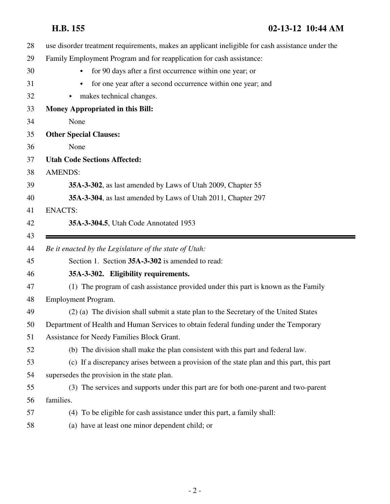**H.B. 155 02-13-12 10:44 AM**

| 28 | use disorder treatment requirements, makes an applicant ineligible for cash assistance under the |
|----|--------------------------------------------------------------------------------------------------|
| 29 | Family Employment Program and for reapplication for cash assistance:                             |
| 30 | for 90 days after a first occurrence within one year; or                                         |
| 31 | for one year after a second occurrence within one year; and<br>$\bullet$                         |
| 32 | makes technical changes.                                                                         |
| 33 | <b>Money Appropriated in this Bill:</b>                                                          |
| 34 | None                                                                                             |
| 35 | <b>Other Special Clauses:</b>                                                                    |
| 36 | None                                                                                             |
| 37 | <b>Utah Code Sections Affected:</b>                                                              |
| 38 | <b>AMENDS:</b>                                                                                   |
| 39 | 35A-3-302, as last amended by Laws of Utah 2009, Chapter 55                                      |
| 40 | 35A-3-304, as last amended by Laws of Utah 2011, Chapter 297                                     |
| 41 | <b>ENACTS:</b>                                                                                   |
| 42 | 35A-3-304.5, Utah Code Annotated 1953                                                            |
| 43 |                                                                                                  |
|    |                                                                                                  |
| 44 | Be it enacted by the Legislature of the state of Utah:                                           |
| 45 | Section 1. Section 35A-3-302 is amended to read:                                                 |
| 46 | 35A-3-302. Eligibility requirements.                                                             |
| 47 | (1) The program of cash assistance provided under this part is known as the Family               |
| 48 | Employment Program.                                                                              |
| 49 | (2) (a) The division shall submit a state plan to the Secretary of the United States             |
| 50 | Department of Health and Human Services to obtain federal funding under the Temporary            |
| 51 | Assistance for Needy Families Block Grant.                                                       |
| 52 | (b) The division shall make the plan consistent with this part and federal law.                  |
| 53 | (c) If a discrepancy arises between a provision of the state plan and this part, this part       |
| 54 | supersedes the provision in the state plan.                                                      |
| 55 | (3) The services and supports under this part are for both one-parent and two-parent             |
| 56 | families.                                                                                        |
| 57 | (4) To be eligible for cash assistance under this part, a family shall:                          |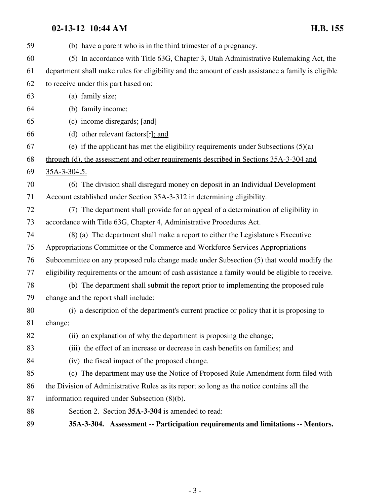### **02-13-12 10:44 AM H.B. 155**

| 59 | (b) have a parent who is in the third trimester of a pregnancy.                                    |
|----|----------------------------------------------------------------------------------------------------|
| 60 | (5) In accordance with Title 63G, Chapter 3, Utah Administrative Rulemaking Act, the               |
| 61 | department shall make rules for eligibility and the amount of cash assistance a family is eligible |
| 62 | to receive under this part based on:                                                               |
| 63 | (a) family size;                                                                                   |
| 64 | (b) family income;                                                                                 |
| 65 | (c) income disregards; $[\text{and}]$                                                              |
| 66 | (d) other relevant factors[ $:$ ]; and                                                             |
| 67 | (e) if the applicant has met the eligibility requirements under Subsections $(5)(a)$               |
| 68 | through (d), the assessment and other requirements described in Sections 35A-3-304 and             |
| 69 | 35A-3-304.5.                                                                                       |
| 70 | (6) The division shall disregard money on deposit in an Individual Development                     |
| 71 | Account established under Section 35A-3-312 in determining eligibility.                            |
| 72 | (7) The department shall provide for an appeal of a determination of eligibility in                |
| 73 | accordance with Title 63G, Chapter 4, Administrative Procedures Act.                               |
| 74 | (8) (a) The department shall make a report to either the Legislature's Executive                   |
| 75 | Appropriations Committee or the Commerce and Workforce Services Appropriations                     |
| 76 | Subcommittee on any proposed rule change made under Subsection (5) that would modify the           |
| 77 | eligibility requirements or the amount of cash assistance a family would be eligible to receive.   |
| 78 | (b) The department shall submit the report prior to implementing the proposed rule                 |
| 79 | change and the report shall include:                                                               |
| 80 | (i) a description of the department's current practice or policy that it is proposing to           |
| 81 | change;                                                                                            |
| 82 | (ii) an explanation of why the department is proposing the change;                                 |
| 83 | (iii) the effect of an increase or decrease in cash benefits on families; and                      |
| 84 | (iv) the fiscal impact of the proposed change.                                                     |
| 85 | (c) The department may use the Notice of Proposed Rule Amendment form filed with                   |
| 86 | the Division of Administrative Rules as its report so long as the notice contains all the          |
| 87 | information required under Subsection (8)(b).                                                      |
| 88 | Section 2. Section 35A-3-304 is amended to read:                                                   |
| 89 | 35A-3-304. Assessment -- Participation requirements and limitations -- Mentors.                    |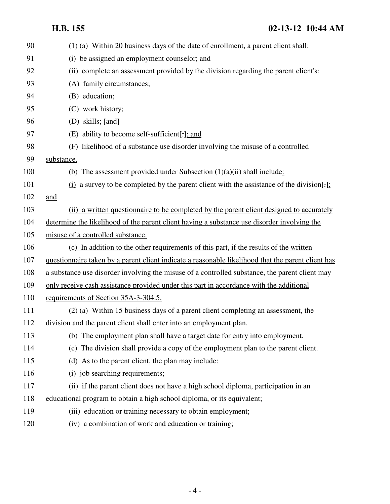**H.B. 155 02-13-12 10:44 AM**

| 90  | (1) (a) Within 20 business days of the date of enrollment, a parent client shall:                  |
|-----|----------------------------------------------------------------------------------------------------|
| 91  | (i) be assigned an employment counselor; and                                                       |
| 92  | (ii) complete an assessment provided by the division regarding the parent client's:                |
| 93  | (A) family circumstances;                                                                          |
| 94  | (B) education;                                                                                     |
| 95  | (C) work history;                                                                                  |
| 96  | (D) skills; $[\text{and}]$                                                                         |
| 97  | (E) ability to become self-sufficient                                                              |
| 98  | likelihood of a substance use disorder involving the misuse of a controlled<br>(F)                 |
| 99  | substance.                                                                                         |
| 100 | (b) The assessment provided under Subsection $(1)(a)(ii)$ shall include:                           |
| 101 | (i) a survey to be completed by the parent client with the assistance of the division[-];          |
| 102 | and                                                                                                |
| 103 | (ii) a written questionnaire to be completed by the parent client designed to accurately           |
| 104 | determine the likelihood of the parent client having a substance use disorder involving the        |
| 105 | misuse of a controlled substance.                                                                  |
| 106 | (c) In addition to the other requirements of this part, if the results of the written              |
| 107 | questionnaire taken by a parent client indicate a reasonable likelihood that the parent client has |
| 108 | a substance use disorder involving the misuse of a controlled substance, the parent client may     |
| 109 | only receive cash assistance provided under this part in accordance with the additional            |
| 110 | requirements of Section 35A-3-304.5.                                                               |
| 111 | (2) (a) Within 15 business days of a parent client completing an assessment, the                   |
| 112 | division and the parent client shall enter into an employment plan.                                |
| 113 | (b) The employment plan shall have a target date for entry into employment.                        |
| 114 | (c) The division shall provide a copy of the employment plan to the parent client.                 |
| 115 | (d) As to the parent client, the plan may include:                                                 |
| 116 | (i) job searching requirements;                                                                    |
| 117 | (ii) if the parent client does not have a high school diploma, participation in an                 |
| 118 | educational program to obtain a high school diploma, or its equivalent;                            |
| 119 | (iii) education or training necessary to obtain employment;                                        |
| 120 | (iv) a combination of work and education or training;                                              |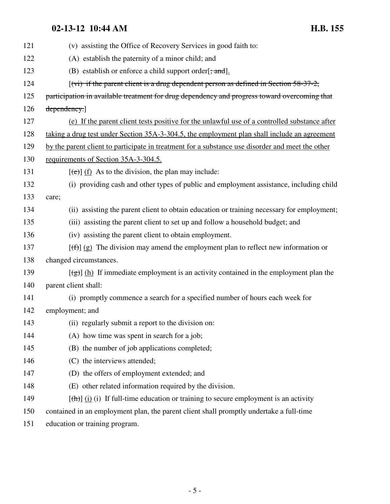## **02-13-12 10:44 AM H.B. 155**

| 121 | (v) assisting the Office of Recovery Services in good faith to:                                     |
|-----|-----------------------------------------------------------------------------------------------------|
| 122 | (A) establish the paternity of a minor child; and                                                   |
| 123 | (B) establish or enforce a child support order $[\frac{1}{2}, \frac{1}{2}]$ .                       |
| 124 | $(vi)$ if the parent client is a drug dependent person as defined in Section 58-37-2,               |
| 125 | participation in available treatment for drug dependency and progress toward overcoming that        |
| 126 | dependency.]                                                                                        |
| 127 | (e) If the parent client tests positive for the unlawful use of a controlled substance after        |
| 128 | taking a drug test under Section 35A-3-304.5, the employment plan shall include an agreement        |
| 129 | by the parent client to participate in treatment for a substance use disorder and meet the other    |
| 130 | requirements of Section 35A-3-304.5.                                                                |
| 131 | $[\text{e}(\text{e})]$ (f) As to the division, the plan may include:                                |
| 132 | (i) providing cash and other types of public and employment assistance, including child             |
| 133 | care;                                                                                               |
| 134 | (ii) assisting the parent client to obtain education or training necessary for employment;          |
| 135 | (iii) assisting the parent client to set up and follow a household budget; and                      |
| 136 | (iv) assisting the parent client to obtain employment.                                              |
| 137 | $[\text{f}(\text{f})]$ (g) The division may amend the employment plan to reflect new information or |
| 138 | changed circumstances.                                                                              |
| 139 | $[\frac{1}{2}]$ (h) If immediate employment is an activity contained in the employment plan the     |
| 140 | parent client shall:                                                                                |
| 141 | (i) promptly commence a search for a specified number of hours each week for                        |
| 142 | employment; and                                                                                     |
| 143 | (ii) regularly submit a report to the division on:                                                  |
| 144 | (A) how time was spent in search for a job;                                                         |
| 145 | (B) the number of job applications completed;                                                       |
| 146 | (C) the interviews attended;                                                                        |
| 147 | (D) the offers of employment extended; and                                                          |
| 148 | (E) other related information required by the division.                                             |
| 149 | $[\frac{h}{\ln}]$ (i) if full-time education or training to secure employment is an activity        |
| 150 | contained in an employment plan, the parent client shall promptly undertake a full-time             |
|     |                                                                                                     |

151 education or training program.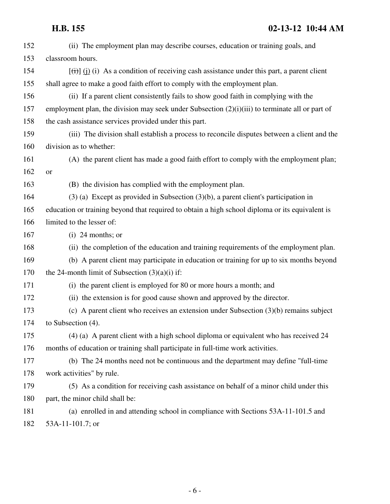| 152 | (ii) The employment plan may describe courses, education or training goals, and                   |
|-----|---------------------------------------------------------------------------------------------------|
| 153 | classroom hours.                                                                                  |
| 154 | $[\vec{t})$ (i) (i) As a condition of receiving cash assistance under this part, a parent client  |
| 155 | shall agree to make a good faith effort to comply with the employment plan.                       |
| 156 | (ii) If a parent client consistently fails to show good faith in complying with the               |
| 157 | employment plan, the division may seek under Subsection $(2)(i)(iii)$ to terminate all or part of |
| 158 | the cash assistance services provided under this part.                                            |
| 159 | (iii) The division shall establish a process to reconcile disputes between a client and the       |
| 160 | division as to whether:                                                                           |
| 161 | (A) the parent client has made a good faith effort to comply with the employment plan;            |
| 162 | <b>or</b>                                                                                         |
| 163 | (B) the division has complied with the employment plan.                                           |
| 164 | $(3)$ (a) Except as provided in Subsection $(3)(b)$ , a parent client's participation in          |
| 165 | education or training beyond that required to obtain a high school diploma or its equivalent is   |
| 166 | limited to the lesser of:                                                                         |
| 167 | $(i)$ 24 months; or                                                                               |
| 168 | (ii) the completion of the education and training requirements of the employment plan.            |
| 169 | (b) A parent client may participate in education or training for up to six months beyond          |
| 170 | the 24-month limit of Subsection $(3)(a)(i)$ if:                                                  |
| 171 | (i) the parent client is employed for 80 or more hours a month; and                               |
| 172 | (ii) the extension is for good cause shown and approved by the director.                          |
| 173 | (c) A parent client who receives an extension under Subsection $(3)(b)$ remains subject           |
| 174 | to Subsection $(4)$ .                                                                             |
| 175 | (4) (a) A parent client with a high school diploma or equivalent who has received 24              |
| 176 | months of education or training shall participate in full-time work activities.                   |
| 177 | (b) The 24 months need not be continuous and the department may define "full-time"                |
| 178 | work activities" by rule.                                                                         |
| 179 | (5) As a condition for receiving cash assistance on behalf of a minor child under this            |
| 180 | part, the minor child shall be:                                                                   |
| 181 | (a) enrolled in and attending school in compliance with Sections 53A-11-101.5 and                 |
| 182 | 53A-11-101.7; or                                                                                  |
|     |                                                                                                   |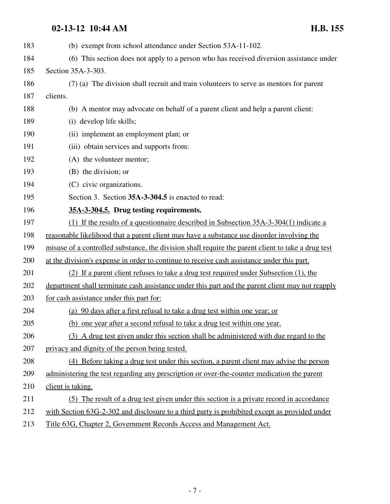## **02-13-12 10:44 AM H.B. 155**

| 183 | (b) exempt from school attendance under Section 53A-11-102.                                        |
|-----|----------------------------------------------------------------------------------------------------|
| 184 | (6) This section does not apply to a person who has received diversion assistance under            |
| 185 | Section 35A-3-303.                                                                                 |
| 186 | (7) (a) The division shall recruit and train volunteers to serve as mentors for parent             |
| 187 | clients.                                                                                           |
| 188 | (b) A mentor may advocate on behalf of a parent client and help a parent client:                   |
| 189 | (i) develop life skills;                                                                           |
| 190 | (ii) implement an employment plan; or                                                              |
| 191 | (iii) obtain services and supports from:                                                           |
| 192 | (A) the volunteer mentor;                                                                          |
| 193 | (B) the division; or                                                                               |
| 194 | (C) civic organizations.                                                                           |
| 195 | Section 3. Section 35A-3-304.5 is enacted to read:                                                 |
| 196 | 35A-3-304.5. Drug testing requirements.                                                            |
| 197 | (1) If the results of a questionnaire described in Subsection $35A-3-304(1)$ indicate a            |
| 198 | reasonable likelihood that a parent client may have a substance use disorder involving the         |
| 199 | misuse of a controlled substance, the division shall require the parent client to take a drug test |
| 200 | at the division's expense in order to continue to receive cash assistance under this part.         |
| 201 | (2) If a parent client refuses to take a drug test required under Subsection (1), the              |
| 202 | department shall terminate cash assistance under this part and the parent client may not reapply   |
| 203 | for cash assistance under this part for:                                                           |
| 204 | (a) 90 days after a first refusal to take a drug test within one year; or                          |
| 205 | (b) one year after a second refusal to take a drug test within one year.                           |
| 206 | (3) A drug test given under this section shall be administered with due regard to the              |
| 207 | privacy and dignity of the person being tested.                                                    |
| 208 | (4) Before taking a drug test under this section, a parent client may advise the person            |
| 209 | administering the test regarding any prescription or over-the-counter medication the parent        |
| 210 | client is taking.                                                                                  |
| 211 | (5) The result of a drug test given under this section is a private record in accordance           |
| 212 | with Section 63G-2-302 and disclosure to a third party is prohibited except as provided under      |
| 213 | Title 63G, Chapter 2, Government Records Access and Management Act.                                |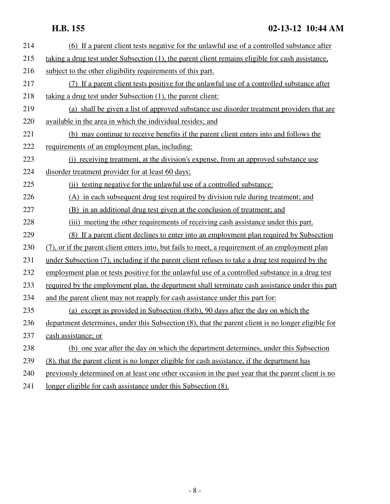### **H.B. 155 02-13-12 10:44 AM**

| 214 | (6) If a parent client tests negative for the unlawful use of a controlled substance after         |
|-----|----------------------------------------------------------------------------------------------------|
| 215 | taking a drug test under Subsection (1), the parent client remains eligible for cash assistance,   |
| 216 | subject to the other eligibility requirements of this part.                                        |
| 217 | (7) If a parent client tests positive for the unlawful use of a controlled substance after         |
| 218 | taking a drug test under Subsection (1), the parent client:                                        |
| 219 | (a) shall be given a list of approved substance use disorder treatment providers that are          |
| 220 | available in the area in which the individual resides; and                                         |
| 221 | (b) may continue to receive benefits if the parent client enters into and follows the              |
| 222 | requirements of an employment plan, including:                                                     |
| 223 | (i) receiving treatment, at the division's expense, from an approved substance use                 |
| 224 | disorder treatment provider for at least 60 days;                                                  |
| 225 | (ii) testing negative for the unlawful use of a controlled substance:                              |
| 226 | (A) in each subsequent drug test required by division rule during treatment; and                   |
| 227 | (B) in an additional drug test given at the conclusion of treatment; and                           |
| 228 | (iii) meeting the other requirements of receiving cash assistance under this part.                 |
| 229 | (8) If a parent client declines to enter into an employment plan required by Subsection            |
| 230 | (7), or if the parent client enters into, but fails to meet, a requirement of an employment plan   |
| 231 | under Subsection (7), including if the parent client refuses to take a drug test required by the   |
| 232 | employment plan or tests positive for the unlawful use of a controlled substance in a drug test    |
| 233 | required by the employment plan, the department shall terminate cash assistance under this part    |
| 234 | and the parent client may not reapply for cash assistance under this part for:                     |
| 235 | (a) except as provided in Subsection $(8)(b)$ , 90 days after the day on which the                 |
| 236 | department determines, under this Subsection (8), that the parent client is no longer eligible for |
| 237 | cash assistance; or                                                                                |
| 238 | (b) one year after the day on which the department determines, under this Subsection               |
| 239 | (8), that the parent client is no longer eligible for cash assistance, if the department has       |
| 240 | previously determined on at least one other occasion in the past year that the parent client is no |
| 241 | longer eligible for cash assistance under this Subsection (8).                                     |